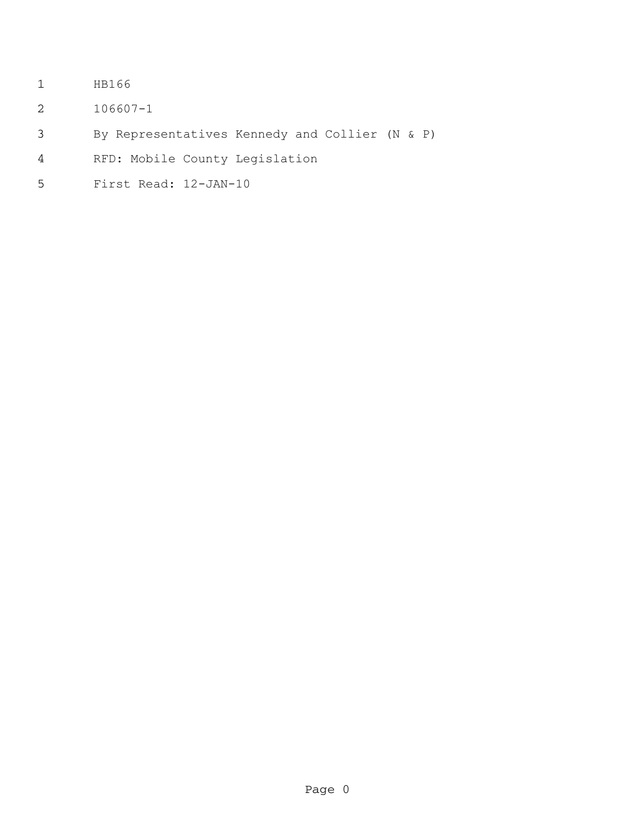- HB166
- 106607-1
- By Representatives Kennedy and Collier (N & P)
- RFD: Mobile County Legislation
- First Read: 12-JAN-10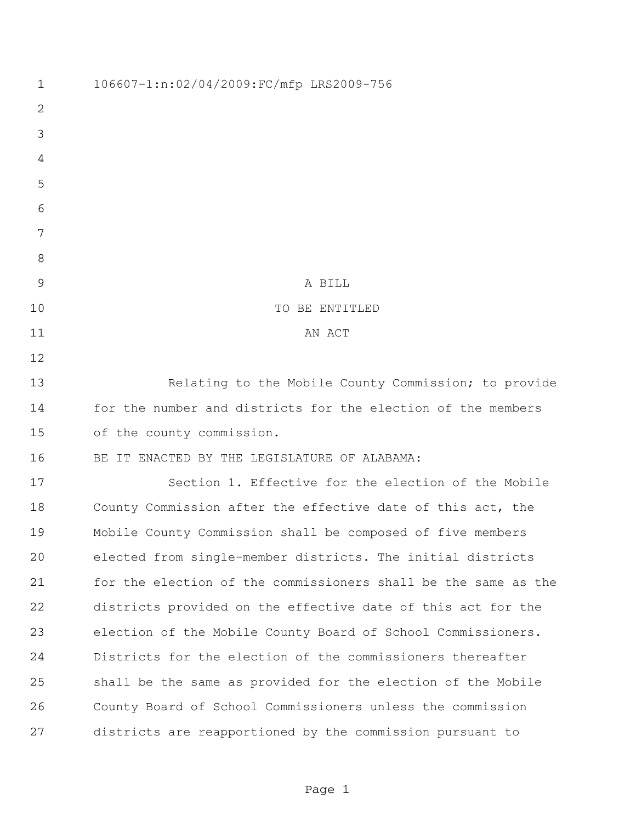| $\mathbf 1$ | 106607-1:n:02/04/2009:FC/mfp LRS2009-756                       |
|-------------|----------------------------------------------------------------|
| 2           |                                                                |
| 3           |                                                                |
| 4           |                                                                |
| 5           |                                                                |
| 6           |                                                                |
| 7           |                                                                |
| 8           |                                                                |
| 9           | A BILL                                                         |
| 10          | TO BE ENTITLED                                                 |
| 11          | AN ACT                                                         |
| 12          |                                                                |
| 13          | Relating to the Mobile County Commission; to provide           |
| 14          | for the number and districts for the election of the members   |
| 15          | of the county commission.                                      |
| 16          | BE IT ENACTED BY THE LEGISLATURE OF ALABAMA:                   |
| 17          | Section 1. Effective for the election of the Mobile            |
| 18          | County Commission after the effective date of this act, the    |
| 19          | Mobile County Commission shall be composed of five members     |
| 20          | elected from single-member districts. The initial districts    |
| 21          | for the election of the commissioners shall be the same as the |
| 22          | districts provided on the effective date of this act for the   |
| 23          | election of the Mobile County Board of School Commissioners.   |
| 24          | Districts for the election of the commissioners thereafter     |
| 25          | shall be the same as provided for the election of the Mobile   |
| 26          | County Board of School Commissioners unless the commission     |
| 27          | districts are reapportioned by the commission pursuant to      |